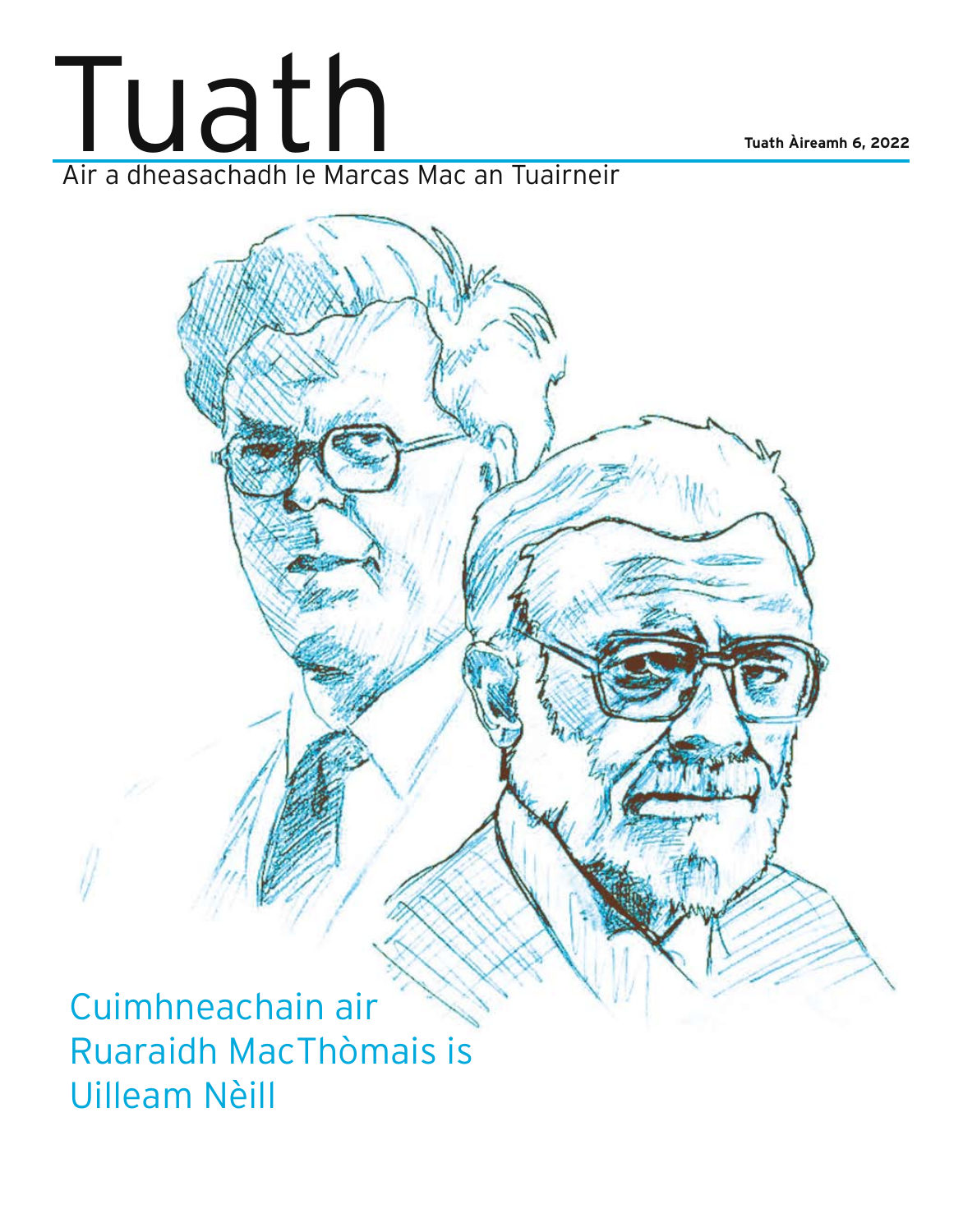

Cuimhneachain air Ruaraidh MacThòmais is Uilleam Nèill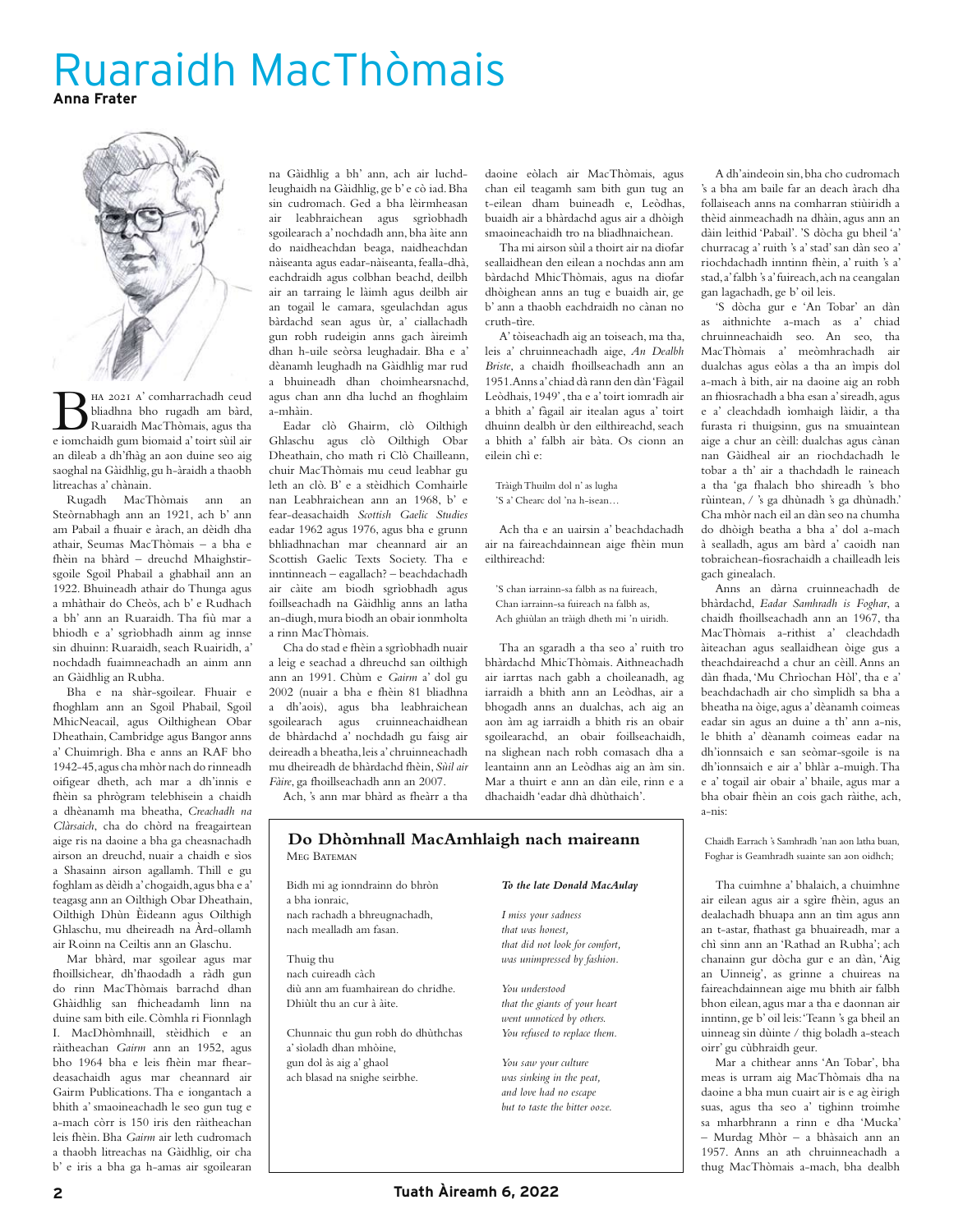# Ruaraidh MacThòmais **Anna Frater**



Ha 2021 a' comharrachadh ceud<br>
Ruaraidh MacThòmais, agus tha<br>
e iomchaidh gum biomaid a' toirt sùil air bliadhna bho rugadh am bàrd, e iomchaidh gum biomaid a' toirt sùil air an dìleab a dh'fhàg an aon duine seo aig saoghal na Gàidhlig, gu h-àraidh a thaobh litreachas a' chànain.

Rugadh MacThòmais ann an Steòrnabhagh ann an 1921, ach b' ann am Pabail a fhuair e àrach, an dèidh dha athair, Seumas MacThòmais – a bha e fhèin na bhàrd – dreuchd Mhaighstirsgoile Sgoil Phabail a ghabhail ann an 1922. Bhuineadh athair do Thunga agus a mhàthair do Cheòs, ach b' e Rudhach a bh' ann an Ruaraidh. Tha fiù mar a bhiodh e a' sgrìobhadh ainm ag innse sin dhuinn: Ruaraidh, seach Ruairidh, a' nochdadh fuaimneachadh an ainm ann an Gàidhlig an Rubha.

Bha e na shàr-sgoilear. Fhuair e fhoghlam ann an Sgoil Phabail, Sgoil MhicNeacail, agus Oilthighean Obar Dheathain, Cambridge agus Bangor anns a' Chuimrigh. Bha e anns an RAF bho 1942-45, agus cha mhòr nach do rinneadh oifigear dheth, ach mar a dh'innis e fhèin sa phrògram telebhisein a chaidh a dhèanamh ma bheatha, *Creachadh na Clàrsaich*, cha do chòrd na freagairtean aige ris na daoine a bha ga cheasnachadh airson an dreuchd, nuair a chaidh e sìos a Shasainn airson agallamh. Thill e gu foghlam as dèidh a' chogaidh, agus bha e a' teagasg ann an Oilthigh Obar Dheathain, Oilthigh Dhùn Èideann agus Oilthigh Ghlaschu, mu dheireadh na Àrd-ollamh air Roinn na Ceiltis ann an Glaschu.

Mar bhàrd, mar sgoilear agus mar fhoillsichear, dh'fhaodadh a ràdh gun do rinn MacThòmais barrachd dhan Ghàidhlig san fhicheadamh linn na duine sam bith eile. Còmhla ri Fionnlagh I. MacDhòmhnaill, stèidhich e an ràitheachan *Gairm* ann an 1952, agus bho 1964 bha e leis fhèin mar fheardeasachaidh agus mar cheannard air Gairm Publications. Tha e iongantach a bhith a' smaoineachadh le seo gun tug e a-mach còrr is 150 iris den ràitheachan leis fhèin. Bha *Gairm* air leth cudromach a thaobh litreachas na Gàidhlig, oir cha b' e iris a bha ga h-amas air sgoilearan

na Gàidhlig a bh' ann, ach air luchdleughaidh na Gàidhlig, ge b' e cò iad. Bha sin cudromach. Ged a bha lèirmheasan air leabhraichean agus sgrìobhadh sgoilearach a' nochdadh ann, bha àite ann do naidheachdan beaga, naidheachdan nàiseanta agus eadar-nàiseanta, fealla-dhà, eachdraidh agus colbhan beachd, deilbh air an tarraing le làimh agus deilbh air an togail le camara, sgeulachdan agus bàrdachd sean agus ùr, a' ciallachadh gun robh rudeigin anns gach àireimh dhan h-uile seòrsa leughadair. Bha e a' dèanamh leughadh na Gàidhlig mar rud a bhuineadh dhan choimhearsnachd, agus chan ann dha luchd an fhoghlaim a-mhàin.

Eadar clò Ghairm, clò Oilthigh Ghlaschu agus clò Oilthigh Obar Dheathain, cho math ri Clò Chailleann, chuir MacThòmais mu ceud leabhar gu leth an clò. B' e a stèidhich Comhairle nan Leabhraichean ann an 1968, b' e fear-deasachaidh *Scottish Gaelic Studies* eadar 1962 agus 1976, agus bha e grunn bhliadhnachan mar cheannard air an Scottish Gaelic Texts Society. Tha e inntinneach – eagallach? – beachdachadh air càite am biodh sgrìobhadh agus foillseachadh na Gàidhlig anns an latha an-diugh, mura biodh an obair ionmholta a rinn MacThòmais.

Cha do stad e fhèin a sgrìobhadh nuair a leig e seachad a dhreuchd san oilthigh ann an 1991. Chùm e *Gairm* a' dol gu 2002 (nuair a bha e fhèin 81 bliadhna a dh'aois), agus bha leabhraichean sgoilearach agus cruinneachaidhean de bhàrdachd a' nochdadh gu faisg air deireadh a bheatha, leis a' chruinneachadh mu dheireadh de bhàrdachd fhèin, *Sùil air Fàire*, ga fhoillseachadh ann an 2007.

Ach, 's ann mar bhàrd as fheàrr a tha

daoine eòlach air MacThòmais, agus chan eil teagamh sam bith gun tug an t-eilean dham buineadh e, Leòdhas, buaidh air a bhàrdachd agus air a dhòigh smaoineachaidh tro na bliadhnaichean.

Tha mi airson sùil a thoirt air na diofar seallaidhean den eilean a nochdas ann am bàrdachd MhicThòmais, agus na diofar dhòighean anns an tug e buaidh air, ge b' ann a thaobh eachdraidh no cànan no cruth-tìre.

A' tòiseachadh aig an toiseach, ma tha, leis a' chruinneachadh aige, *An Dealbh Briste*, a chaidh fhoillseachadh ann an 1951. Anns a' chiad dà rann den dàn 'Fàgail Leòdhais, 1949' , tha e a' toirt iomradh air a bhith a' fàgail air itealan agus a' toirt dhuinn dealbh ùr den eilthireachd, seach a bhith a' falbh air bàta. Os cionn an eilein chì e:

Tràigh Thuilm dol n' as lugha

'S a' Chearc dol 'na h-isean…

Ach tha e an uairsin a' beachdachadh air na faireachdainnean aige fhèin mun eilthireachd:

'S chan iarrainn-sa falbh as na fuireach, Chan iarrainn-sa fuireach na falbh as, Ach ghiùlan an tràigh dheth mi 'n uiridh.

Tha an sgaradh a tha seo a' ruith tro bhàrdachd MhicThòmais. Aithneachadh air iarrtas nach gabh a choileanadh, ag iarraidh a bhith ann an Leòdhas, air a bhogadh anns an dualchas, ach aig an aon àm ag iarraidh a bhith ris an obair sgoilearachd, an obair foillseachaidh, na slighean nach robh comasach dha a leantainn ann an Leòdhas aig an àm sin. Mar a thuirt e ann an dàn eile, rinn e a dhachaidh 'eadar dhà dhùthaich'.

A dh'aindeoin sin, bha cho cudromach 's a bha am baile far an deach àrach dha follaiseach anns na comharran stiùiridh a thèid ainmeachadh na dhàin, agus ann an dàin leithid 'Pabail'. 'S dòcha gu bheil 'a' churracag a' ruith 's a' stad' san dàn seo a' riochdachadh inntinn fhèin, a' ruith 's a' stad, a' falbh 's a' fuireach, ach na ceangalan gan lagachadh, ge b' oil leis.

'S dòcha gur e 'An Tobar' an dàn as aithnichte a-mach as a' chiad chruinneachaidh seo. An seo, tha MacThòmais a' meòmhrachadh air dualchas agus eòlas a tha an ìmpis dol a-mach à bith, air na daoine aig an robh an fhiosrachadh a bha esan a' sireadh, agus e a' cleachdadh ìomhaigh làidir, a tha furasta ri thuigsinn, gus na smuaintean aige a chur an cèill: dualchas agus cànan nan Gàidheal air an riochdachadh le tobar a th' air a thachdadh le raineach a tha 'ga fhalach bho shireadh 's bho rùintean, / 's ga dhùnadh 's ga dhùnadh.' Cha mhòr nach eil an dàn seo na chumha do dhòigh beatha a bha a' dol a-mach à sealladh, agus am bàrd a' caoidh nan tobraichean-fiosrachaidh a chailleadh leis gach ginealach.

Anns an dàrna cruinneachadh de bhàrdachd, *Eadar Samhradh is Foghar*, a chaidh fhoillseachadh ann an 1967, tha MacThòmais a-rithist a' cleachdadh àiteachan agus seallaidhean òige gus a theachdaireachd a chur an cèill. Anns an dàn fhada, 'Mu Chrìochan Hòl', tha e a' beachdachadh air cho sìmplidh sa bha a bheatha na òige, agus a' dèanamh coimeas eadar sin agus an duine a th' ann a-nis, le bhith a' dèanamh coimeas eadar na dh'ionnsaich e san seòmar-sgoile is na dh'ionnsaich e air a' bhlàr a-muigh. Tha e a' togail air obair a' bhaile, agus mar a bha obair fhèin an cois gach ràithe, ach, a-nis:

Chaidh Earrach 's Samhradh 'nan aon latha buan, Foghar is Geamhradh suainte san aon oidhch;

Tha cuimhne a' bhalaich, a chuimhne air eilean agus air a sgìre fhèin, agus an dealachadh bhuapa ann an tìm agus ann an t-astar, fhathast ga bhuaireadh, mar a chì sinn ann an 'Rathad an Rubha'; ach chanainn gur dòcha gur e an dàn, 'Aig an Uinneig', as grinne a chuireas na faireachdainnean aige mu bhith air falbh bhon eilean, agus mar a tha e daonnan air inntinn, ge b' oil leis: 'Teann 's ga bheil an uinneag sin dùinte / thig boladh a-steach oirr' gu cùbhraidh geur.

Mar a chithear anns 'An Tobar', bha meas is urram aig MacThòmais dha na daoine a bha mun cuairt air is e ag èirigh suas, agus tha seo a' tighinn troimhe sa mharbhrann a rinn e dha 'Mucka' – Murdag Mhòr – a bhàsaich ann an 1957. Anns an ath chruinneachadh a thug MacThòmais a-mach, bha dealbh

#### MEG BATEMAN **Do Dhòmhnall MacAmhlaigh nach maireann**

Bidh mi ag ionndrainn do bhròn a bha ionraic, nach rachadh a bhreugnachadh, nach mealladh am fasan.

Thuig thu nach cuireadh càch diù ann am fuamhairean do chridhe. Dhiùlt thu an cur à àite.

Chunnaic thu gun robh do dhùthchas a' sìoladh dhan mhòine, gun dol às aig a' ghaol ach blasad na snighe seirbhe.

#### *To the late Donald MacAulay*

*I miss your sadness that was honest, that did not look for comfort, was unimpressed by fashion.*

*You understood that the giants of your heart went unnoticed by others. You refused to replace them.*

*You saw your culture was sinking in the peat, and love had no escape but to taste the bitter ooze.*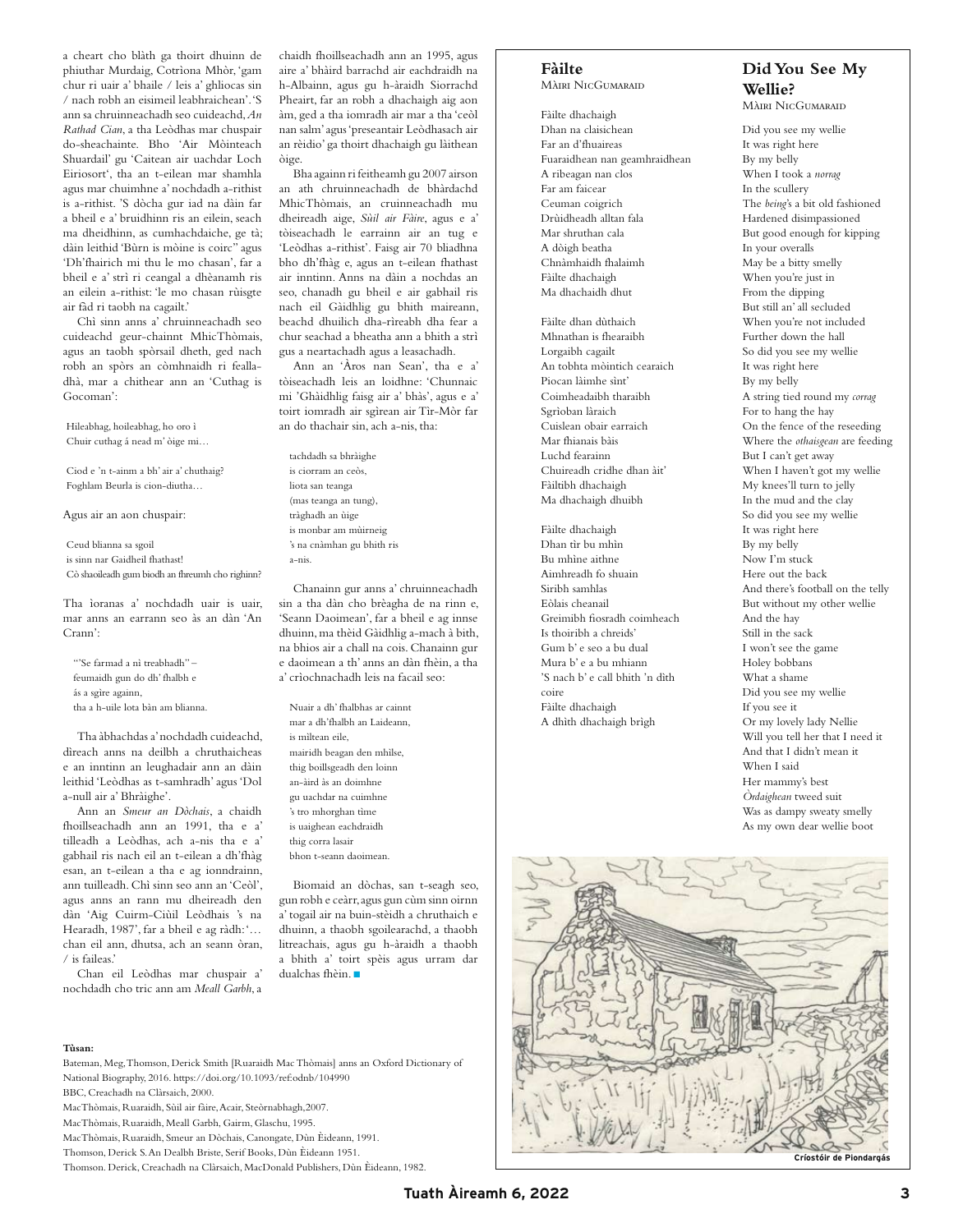a cheart cho blàth ga thoirt dhuinn de phiuthar Murdaig, Cotrìona Mhòr, 'gam chur ri uair a' bhaile / leis a' ghliocas sin / nach robh an eisimeil leabhraichean'. 'S ann sa chruinneachadh seo cuideachd, *An Rathad Cian*, a tha Leòdhas mar chuspair do-sheachainte. Bho 'Air Mòinteach Shuardail' gu 'Caitean air uachdar Loch Eiriosort', tha an t-eilean mar shamhla agus mar chuimhne a' nochdadh a-rithist is a-rithist. 'S dòcha gur iad na dàin far a bheil e a' bruidhinn ris an eilein, seach ma dheidhinn, as cumhachdaiche, ge tà; dàin leithid 'Bùrn is mòine is coirc'' agus 'Dh'fhairich mi thu le mo chasan', far a bheil e a' strì ri ceangal a dhèanamh ris an eilein a-rithist: 'le mo chasan rùisgte air fàd ri taobh na cagailt.'

Chì sinn anns a' chruinneachadh seo cuideachd geur-chainnt MhicThòmais, agus an taobh spòrsail dheth, ged nach robh an spòrs an còmhnaidh ri fealladhà, mar a chithear ann an 'Cuthag is Gocoman':

Hileabhag, hoileabhag, ho oro ì Chuir cuthag á nead m' òige mi…

Ciod e 'n t-ainm a bh' air a' chuthaig? Foghlam Beurla is cion-diutha…

Agus air an aon chuspair:

Ceud blianna sa sgoil is sinn nar Gaidheil fhathast! Cò shaoileadh gum biodh an fhreumh cho righinn?

Tha ìoranas a' nochdadh uair is uair, mar anns an earrann seo às an dàn 'An Crann':

"'Se farmad a nì treabhadh" – feumaidh gun do dh' fhalbh e ás a sgìre againn, tha a h-uile lota bàn am blianna.

Tha àbhachdas a' nochdadh cuideachd, dìreach anns na deilbh a chruthaicheas e an inntinn an leughadair ann an dàin leithid 'Leòdhas as t-samhradh' agus 'Dol a-null air a' Bhràighe'.

Ann an *Smeur an Dòchais*, a chaidh fhoillseachadh ann an 1991, tha e a' tilleadh a Leòdhas, ach a-nis tha e a' gabhail ris nach eil an t-eilean a dh'fhàg esan, an t-eilean a tha e ag ionndrainn, ann tuilleadh. Chì sinn seo ann an 'Ceòl', agus anns an rann mu dheireadh den dàn 'Aig Cuirm-Ciùil Leòdhais 's na Hearadh, 1987', far a bheil e ag ràdh: '... chan eil ann, dhutsa, ach an seann òran, / is faileas.'

Chan eil Leòdhas mar chuspair a' nochdadh cho tric ann am *Meall Garbh*, a

chaidh fhoillseachadh ann an 1995, agus aire a' bhàird barrachd air eachdraidh na h-Albainn, agus gu h-àraidh Siorrachd Pheairt, far an robh a dhachaigh aig aon àm, ged a tha iomradh air mar a tha 'ceòl nan salm' agus 'preseantair Leòdhasach air an rèidio' ga thoirt dhachaigh gu làithean òige.

Bha againn ri feitheamh gu 2007 airson an ath chruinneachadh de bhàrdachd MhicThòmais, an cruinneachadh mu dheireadh aige, *Sùil air Fàire*, agus e a' tòiseachadh le earrainn air an tug e 'Leòdhas a-rithist'. Faisg air 70 bliadhna bho dh'fhàg e, agus an t-eilean fhathast air inntinn. Anns na dàin a nochdas an seo, chanadh gu bheil e air gabhail ris nach eil Gàidhlig gu bhith maireann, beachd dhuilich dha-rìreabh dha fear a chur seachad a bheatha ann a bhith a strì gus a neartachadh agus a leasachadh.

Ann an 'Àros nan Sean', tha e a' tòiseachadh leis an loidhne: 'Chunnaic mi 'Ghàidhlig faisg air a' bhàs', agus e a' toirt iomradh air sgìrean air Tìr-Mòr far an do thachair sin, ach a-nis, tha:

tachdadh sa bhràighe is ciorram an ceòs, liota san teanga (mas teanga an tung), tràghadh an ùige is monbar am mùirneig 's na cnàmhan gu bhith ris a-nis.

Chanainn gur anns a' chruinneachadh sin a tha dàn cho brèagha de na rinn e, 'Seann Daoimean', far a bheil e ag innse dhuinn, ma thèid Gàidhlig a-mach à bith, na bhios air a chall na cois. Chanainn gur e daoimean a th' anns an dàn fhèin, a tha a' crìochnachadh leis na facail seo:

Nuair a dh' fhalbhas ar cainnt mar a dh'fhalbh an Laideann, is mìltean eile, mairidh beagan den mhìlse, thig boillsgeadh den loinn an-àird às an doimhne gu uachdar na cuimhne 's tro mhorghan tìme is uaighean eachdraidh thig corra lasair bhon t-seann daoimean.

Biomaid an dòchas, san t-seagh seo, gun robh e ceàrr, agus gun cùm sinn oirnn a' togail air na buin-stèidh a chruthaich e dhuinn, a thaobh sgoilearachd, a thaobh litreachais, agus gu h-àraidh a thaobh a bhith a' toirt spèis agus urram dar dualchas fhèin.

#### **Tùsan:**

Bateman, Meg, Thomson, Derick Smith [Ruaraidh Mac Thòmais] anns an Oxford Dictionary of National Biography, 2016. https://doi.org/10.1093/ref:odnb/104990

BBC, Creachadh na Clàrsaich, 2000.

MacThòmais, Ruaraidh, Sùil air fàire, Acair, Steòrnabhagh,2007.

MacThòmais, Ruaraidh, Meall Garbh, Gairm, Glaschu, 1995.

MacThòmais, Ruaraidh, Smeur an Dòchais, Canongate, Dùn Èideann, 1991.

Thomson, Derick S. An Dealbh Briste, Serif Books, Dùn Èideann 1951.

#### **Fàilte**

Màiri NicGumaraid

Fàilte dhachaigh Dhan na claisichean Far an d'fhuaireas Fuaraidhean nan geamhraidhean A ribeagan nan clos Far am faicear Ceuman coigrich Drùidheadh alltan fala Mar shruthan cala A dòigh beatha Chnàmhaidh fhalaimh Fàilte dhachaigh Ma dhachaidh dhut

Fàilte dhan dùthaich Mhnathan is fhearaibh Lorgaibh cagailt An tobhta mòintich cearaich Piocan làimhe sìnt' Coimheadaibh tharaibh Sgrìoban làraich Cuislean obair earraich Mar fhianais bàis Luchd fearainn Chuireadh cridhe dhan àit' Fàiltibh dhachaigh Ma dhachaigh dhuibh

Fàilte dhachaigh Dhan tìr bu mhìn Bu mhìne aithne Aimhreadh fo shuain Siribh samhlas Eòlais cheanail Greimibh fiosradh coimheach Is thoiribh a chreids' Gum b' e seo a bu dual Mura b' e a bu mhiann 'S nach b' e call bhith 'n dìth coire Fàilte dhachaigh A dhìth dhachaigh brìgh

# **Did You See My Wellie?**

Màiri NicGumaraid

Did you see my wellie It was right here By my belly When I took a *norrag* In the scullery The *being*'s a bit old fashioned Hardened disimpassioned But good enough for kipping In your overalls May be a bitty smelly When you're just in From the dipping But still an' all secluded When you're not included Further down the hall So did you see my wellie It was right here By my belly A string tied round my *corrag* For to hang the hay On the fence of the reseeding Where the *othaisgean* are feeding But I can't get away When I haven't got my wellie My knees'll turn to jelly In the mud and the clay So did you see my wellie It was right here By my belly Now I'm stuck Here out the back And there's football on the telly But without my other wellie And the hay Still in the sack I won't see the game Holey bobbans What a shame Did you see my wellie If you see it Or my lovely lady Nellie Will you tell her that I need it And that I didn't mean it When I said Her mammy's best *Òrdaighean* tweed suit Was as dampy sweaty smelly As my own dear wellie boot

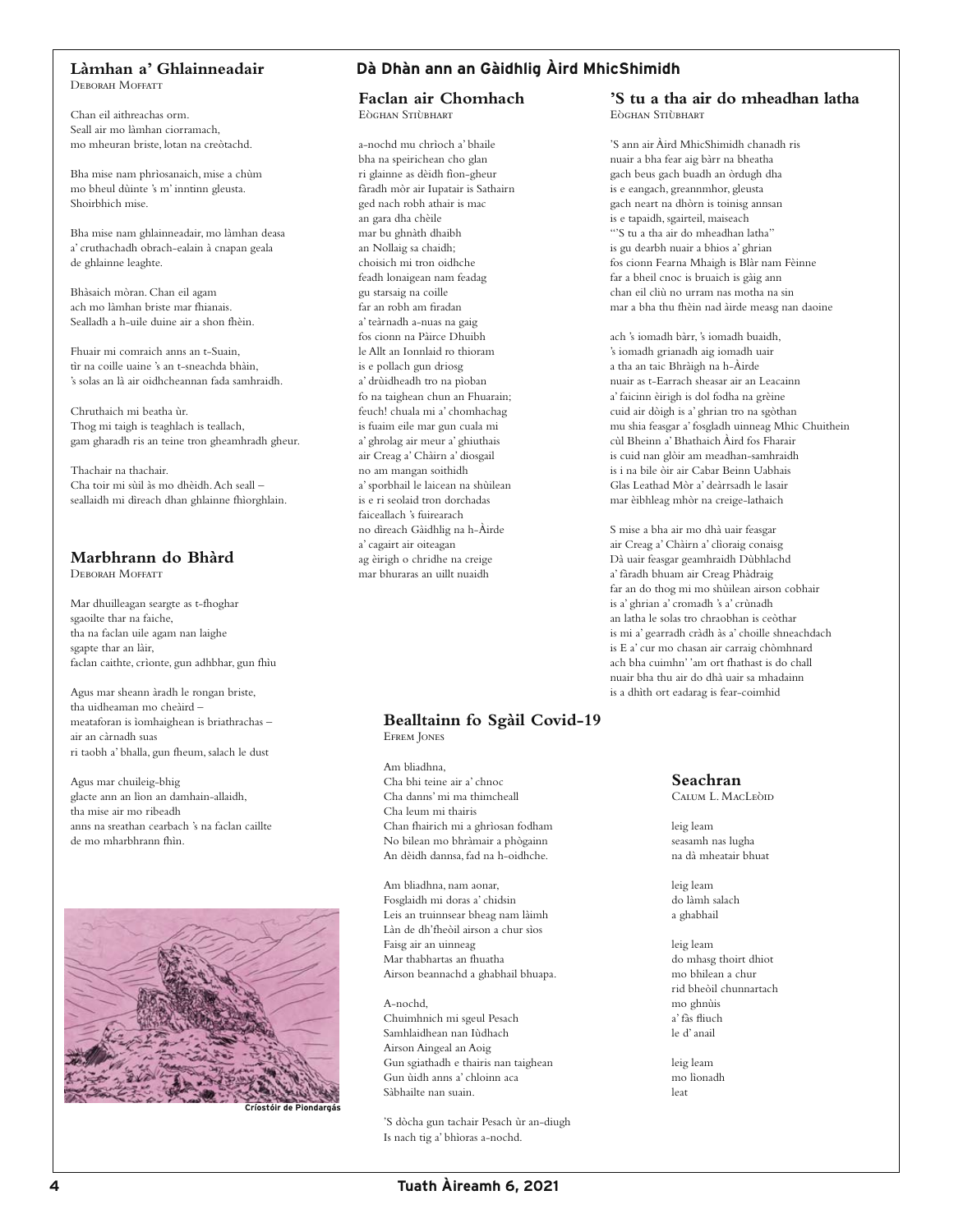### **Làmhan a' Ghlainneadair**

DEBORAH MOEFATT

Chan eil aithreachas orm. Seall air mo làmhan ciorramach, mo mheuran briste, lotan na creòtachd.

Bha mise nam phrìosanaich, mise a chùm mo bheul dùinte 's m' inntinn gleusta. Shoirbhich mise.

Bha mise nam ghlainneadair, mo làmhan deasa a' cruthachadh obrach-ealain à cnapan geala de ghlainne leaghte.

Bhàsaich mòran. Chan eil agam ach mo làmhan briste mar fhianais. Sealladh a h-uile duine air a shon fhèin.

Fhuair mi comraich anns an t-Suain, tìr na coille uaine 's an t-sneachda bhàin, 's solas an là air oidhcheannan fada samhraidh.

Chruthaich mi beatha ùr. Thog mi taigh is teaghlach is teallach, gam gharadh ris an teine tron gheamhradh gheur.

Thachair na thachair. Cha toir mi sùil às mo dhèidh. Ach seall – seallaidh mi dìreach dhan ghlainne fhìorghlain.

# **Marbhrann do Bhàrd**

Deborah Moffatt

Mar dhuilleagan seargte as t-fhoghar sgaoilte thar na faiche, tha na faclan uile agam nan laighe sgapte thar an làir, faclan caithte, crìonte, gun adhbhar, gun fhìu

Agus mar sheann àradh le rongan briste, tha uidheaman mo cheàird – meataforan is ìomhaighean is briathrachas – air an càrnadh suas ri taobh a' bhalla, gun fheum, salach le dust

Agus mar chuileig-bhig glacte ann an lìon an damhain-allaidh, tha mise air mo ribeadh anns na sreathan cearbach 's na faclan caillte de mo mharbhrann fhìn.



**Críostóir de Piondargás**

# **Dà Dhàn ann an Gàidhlig Àird MhicShimidh**

**Faclan air Chomhach** Eòghan Stiùbhart

a-nochd mu chrìoch a' bhaile bha na speirichean cho glan ri glainne as dèidh fìon-gheur fàradh mòr air Iupatair is Sathairn ged nach robh athair is mac an gara dha chèile mar bu ghnàth dhaibh an Nollaig sa chaidh; choisich mi tron oidhche feadh lonaigean nam feadag gu starsaig na coille far an robh am firadan a' teàrnadh a-nuas na gaig fos cionn na Pàirce Dhuibh le Allt an Ionnlaid ro thioram is e pollach gun driosg a' drùidheadh tro na pìoban fo na taighean chun an Fhuarain; feuch! chuala mi a' chomhachag is fuaim eile mar gun cuala mi a' ghrolag air meur a' ghiuthais air Creag a' Chàirn a' diosgail no am mangan soithidh a' sporbhail le laicean na shùilean is e ri seolaid tron dorchadas faiceallach 's fuirearach no dìreach Gàidhlig na h-Àirde a' cagairt air oiteagan ag èirigh o chridhe na creige mar bhuraras an uillt nuaidh

#### **Bealltainn fo Sgàil Covid-19** Efrem Jones

Am bliadhna, Cha bhi teine air a' chnoc Cha danns' mi ma thimcheall Cha leum mi thairis Chan fhairich mi a ghrìosan fodham No bilean mo bhràmair a phògainn An dèidh dannsa, fad na h-oidhche.

Am bliadhna, nam aonar, Fosglaidh mi doras a' chidsin Leis an truinnsear bheag nam làimh Làn de dh'fheòil airson a chur sìos Faisg air an uinneag Mar thabhartas an fhuatha Airson beannachd a ghabhail bhuapa.

A-nochd, Chuimhnich mi sgeul Pesach Samhlaidhean nan Iùdhach Airson Aingeal an Aoig Gun sgiathadh e thairis nan taighean Gun ùidh anns a' chloinn aca Sàbhailte nan suain.

'S dòcha gun tachair Pesach ùr an-diugh Is nach tig a' bhìoras a-nochd.

**'S tu a tha air do mheadhan latha** Eòghan Stiùbhart

'S ann air Àird MhicShimidh chanadh ris nuair a bha fear aig bàrr na bheatha gach beus gach buadh an òrdugh dha is e eangach, greannmhor, gleusta gach neart na dhòrn is toinisg annsan is e tapaidh, sgairteil, maiseach "'S tu a tha air do mheadhan latha" is gu dearbh nuair a bhios a' ghrian fos cionn Fearna Mhaigh is Blàr nam Fèinne far a bheil cnoc is bruaich is gàig ann chan eil cliù no urram nas motha na sin mar a bha thu fhèin nad àirde measg nan daoine

ach 's iomadh bàrr, 's iomadh buaidh, 's iomadh grianadh aig iomadh uair a tha an taic Bhràigh na h-Àirde nuair as t-Earrach sheasar air an Leacainn a' faicinn èirigh is dol fodha na grèine cuid air dòigh is a' ghrian tro na sgòthan mu shia feasgar a' fosgladh uinneag Mhic Chuithein cùl Bheinn a' Bhathaich Àird fos Fharair is cuid nan glòir am meadhan-samhraidh is i na bile òir air Cabar Beinn Uabhais Glas Leathad Mòr a' deàrrsadh le lasair mar èibhleag mhòr na creige-lathaich

S mise a bha air mo dhà uair feasgar air Creag a' Chàirn a' clìoraig conaisg Dà uair feasgar geamhraidh Dùbhlachd a' fàradh bhuam air Creag Phàdraig far an do thog mi mo shùilean airson cobhair is a' ghrian a' cromadh 's a' crùnadh an latha le solas tro chraobhan is ceòthar is mi a' gearradh cràdh às a' choille shneachdach is E a' cur mo chasan air carraig chòmhnard ach bha cuimhn' 'am ort fhathast is do chall nuair bha thu air do dhà uair sa mhadainn is a dhìth ort eadarag is fear-coimhid

> **Seachran**  Calum L. MacLeòid

leig leam seasamh nas lugha na dà mheatair bhuat

leig leam do làmh salach a ghabhail

leig leam do mhasg thoirt dhiot mo bhilean a chur rid bheòil chunnartach mo ghnùis a' fàs fliuch le d' anail

leig leam mo lìonadh leat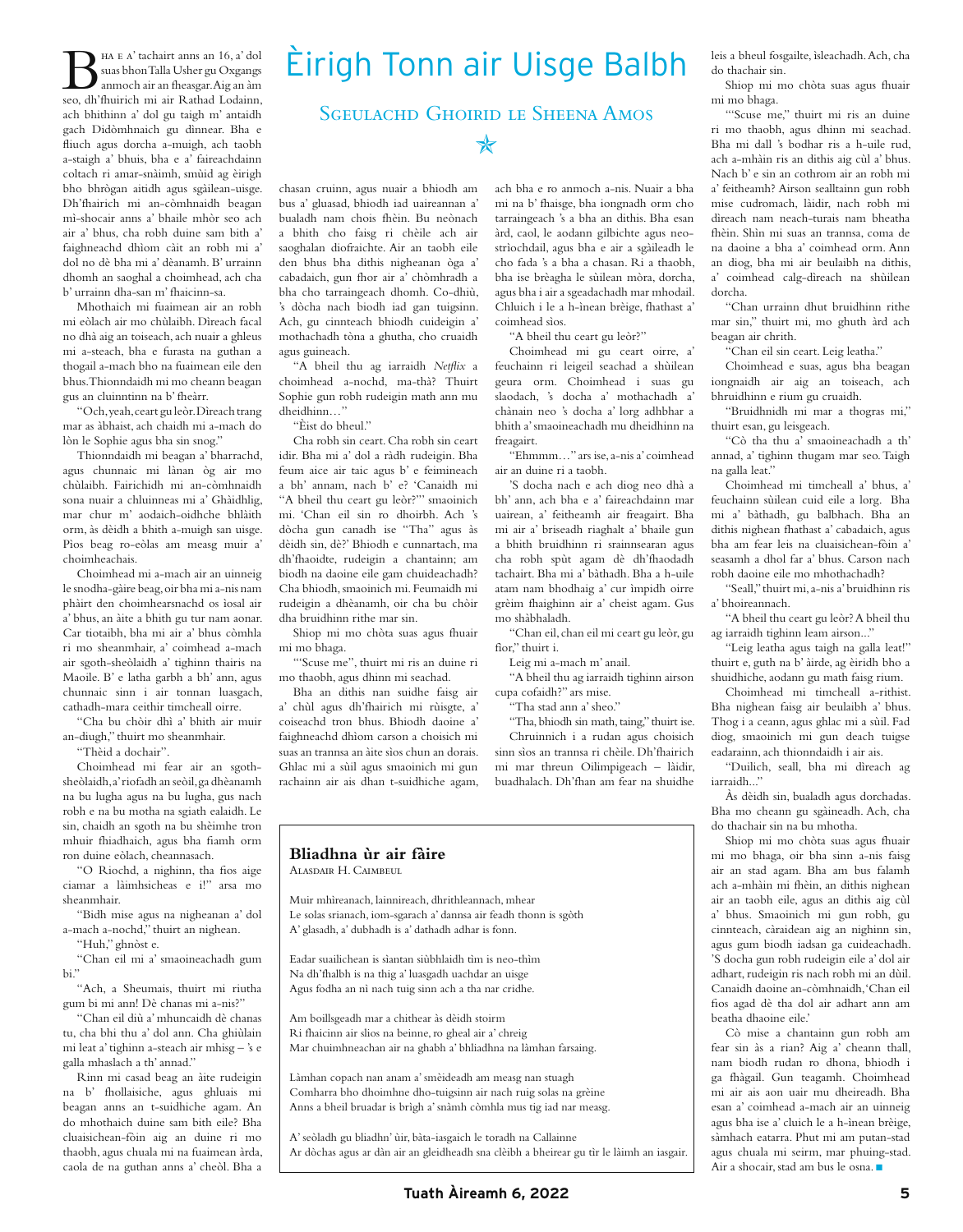Bha e a' tachairt anns an 16, a' dol suas bhon Talla Usher gu Oxgangs anmoch air an fheasgar. Aig an àm seo, dh'fhuirich mi air Rathad Lodainn, ach bhithinn a' dol gu taigh m' antaidh gach Didòmhnaich gu dìnnear. Bha e fliuch agus dorcha a-muigh, ach taobh a-staigh a' bhuis, bha e a' faireachdainn coltach ri amar-snàimh, smùid ag èirigh bho bhrògan aitidh agus sgàilean-uisge. Dh'fhairich mi an-còmhnaidh beagan mì-shocair anns a' bhaile mhòr seo ach air a' bhus, cha robh duine sam bith a' faighneachd dhìom càit an robh mi a' dol no dè bha mi a' dèanamh. B' urrainn dhomh an saoghal a choimhead, ach cha b' urrainn dha-san m' fhaicinn-sa.

Mhothaich mi fuaimean air an robh mi eòlach air mo chùlaibh. Dìreach facal no dhà aig an toiseach, ach nuair a ghleus mi a-steach, bha e furasta na guthan a thogail a-mach bho na fuaimean eile den bhus. Thionndaidh mi mo cheann beagan gus an cluinntinn na b' fheàrr.

"Och, yeah, ceart gu leòr. Dìreach trang mar as àbhaist, ach chaidh mi a-mach do lòn le Sophie agus bha sin snog."

Thionndaidh mi beagan a' bharrachd, agus chunnaic mi lànan òg air mo chùlaibh. Fairichidh mi an-còmhnaidh sona nuair a chluinneas mi a' Ghàidhlig, mar chur m' aodaich-oidhche bhlàith orm, às dèidh a bhith a-muigh san uisge. Pìos beag ro-eòlas am measg muir a' choimheachais.

Choimhead mi a-mach air an uinneig le snodha-gàire beag, oir bha mi a-nis nam phàirt den choimhearsnachd os ìosal air a' bhus, an àite a bhith gu tur nam aonar. Car tiotaibh, bha mi air a' bhus còmhla ri mo sheanmhair, a' coimhead a-mach air sgoth-sheòlaidh a' tighinn thairis na Maoile. B' e latha garbh a bh' ann, agus chunnaic sinn i air tonnan luasgach, cathadh-mara ceithir timcheall oirre.

"Cha bu chòir dhì a' bhith air muir an-diugh," thuirt mo sheanmhair.

"Thèid a dochair".

Choimhead mi fear air an sgothsheòlaidh, a' riofadh an seòil, ga dhèanamh na bu lugha agus na bu lugha, gus nach robh e na bu motha na sgiath ealaidh. Le sin, chaidh an sgoth na bu shèimhe tron mhuir fhiadhaich, agus bha fiamh orm ron duine eòlach, cheannasach.

"O Riochd, a nighinn, tha fios aige ciamar a làimhsicheas e i!" arsa mo sheanmhair.

"Bidh mise agus na nigheanan a' dol a-mach a-nochd," thuirt an nighean.

"Huh," ghnòst e.

"Chan eil mi a' smaoineachadh gum bi."

"Ach, a Sheumais, thuirt mi riutha gum bi mi ann! Dè chanas mi a-nis?"

"Chan eil diù a' mhuncaidh dè chanas tu, cha bhi thu a' dol ann. Cha ghiùlain mi leat a' tighinn a-steach air mhisg – 's e galla mhaslach a th' annad."

Rinn mi casad beag an àite rudeigin na b' fhollaisiche, agus ghluais mi beagan anns an t-suidhiche agam. An do mhothaich duine sam bith eile? Bha cluaisichean-fòin aig an duine ri mo thaobh, agus chuala mi na fuaimean àrda, caola de na guthan anns a' cheòl. Bha a

# Èirigh Tonn air Uisge Balbh

# SGEULACHD GHOIRID LE SHEENA AMOS

✯

chasan cruinn, agus nuair a bhiodh am bus a' gluasad, bhiodh iad uaireannan a' bualadh nam chois fhèin. Bu neònach a bhith cho faisg ri chèile ach air saoghalan diofraichte. Air an taobh eile den bhus bha dithis nigheanan òga a' cabadaich, gun fhor air a' chòmhradh a bha cho tarraingeach dhomh. Co-dhiù, 's dòcha nach biodh iad gan tuigsinn. Ach, gu cinnteach bhiodh cuideigin a' mothachadh tòna a ghutha, cho cruaidh agus guineach.

"A bheil thu ag iarraidh *Netflix* a choimhead a-nochd, ma-thà? Thuirt Sophie gun robh rudeigin math ann mu dheidhinn…"

"Èist do bheul."

Cha robh sin ceart. Cha robh sin ceart idir. Bha mi a' dol a ràdh rudeigin. Bha feum aice air taic agus b' e feimineach a bh' annam, nach b' e? 'Canaidh mi "A bheil thu ceart gu leòr?"' smaoinich mi. 'Chan eil sin ro dhoirbh. Ach 's dòcha gun canadh ise "Tha" agus às dèidh sin, dè?' Bhiodh e cunnartach, ma dh'fhaoidte, rudeigin a chantainn; am biodh na daoine eile gam chuideachadh? Cha bhiodh, smaoinich mi. Feumaidh mi rudeigin a dhèanamh, oir cha bu chòir dha bruidhinn rithe mar sin.

Shiop mi mo chòta suas agus fhuair mi mo bhaga.

"'Scuse me", thuirt mi ris an duine ri mo thaobh, agus dhinn mi seachad.

Bha an dithis nan suidhe faisg air a' chùl agus dh'fhairich mi rùisgte, a' coiseachd tron bhus. Bhiodh daoine a' faighneachd dhìom carson a choisich mi suas an trannsa an àite sìos chun an dorais. Ghlac mi a sùil agus smaoinich mi gun rachainn air ais dhan t-suidhiche agam, ach bha e ro anmoch a-nis. Nuair a bha mi na b' fhaisge, bha iongnadh orm cho tarraingeach 's a bha an dithis. Bha esan àrd, caol, le aodann gilbichte agus neostrìochdail, agus bha e air a sgàileadh le cho fada 's a bha a chasan. Ri a thaobh, bha ise brèagha le sùilean mòra, dorcha, agus bha i air a sgeadachadh mar mhodail. Chluich i le a h-ìnean brèige, fhathast a' coimhead sìos.

"A bheil thu ceart gu leòr?"

Choimhead mi gu ceart oirre, a' feuchainn ri leigeil seachad a shùilean geura orm. Choimhead i suas gu slaodach, 's docha a' mothachadh a' chànain neo 's docha a' lorg adhbhar a bhith a' smaoineachadh mu dheidhinn na freagairt.

"Ehmmm…" ars ise, a-nis a' coimhead air an duine ri a taobh.

'S docha nach e ach diog neo dhà a bh' ann, ach bha e a' faireachdainn mar uairean, a' feitheamh air freagairt. Bha mi air a' briseadh riaghalt a' bhaile gun a bhith bruidhinn ri srainnsearan agus cha robh spùt agam dè dh'fhaodadh tachairt. Bha mi a' bàthadh. Bha a h-uile atam nam bhodhaig a' cur ìmpidh oirre grèim fhaighinn air a' cheist agam. Gus mo shàbhaladh.

"Chan eil, chan eil mi ceart gu leòr, gu fìor," thuirt i.

Leig mi a-mach m' anail.

"A bheil thu ag iarraidh tighinn airson cupa cofaidh?" ars mise.

"Tha stad ann a' sheo."

"Tha, bhiodh sin math, taing," thuirt ise. Chruinnich i a rudan agus choisich sinn sìos an trannsa ri chèile. Dh'fhairich mi mar threun Oilimpigeach – làidir, buadhalach. Dh'fhan am fear na shuidhe

#### **Bliadhna ùr air fàire** ALASDAIR H. CAIMBEUL

Muir mhìreanach, lainnireach, dhrithleannach, mhear Le solas srianach, iom-sgarach a' dannsa air feadh thonn is sgòth A' glasadh, a' dubhadh is a' dathadh adhar is fonn.

Eadar suailichean is sìantan siùbhlaidh tìm is neo-thìm Na dh'fhalbh is na thig a' luasgadh uachdar an uisge Agus fodha an nì nach tuig sinn ach a tha nar cridhe.

Am boillsgeadh mar a chithear às dèidh stoirm Ri fhaicinn air slios na beinne, ro gheal air a' chreig Mar chuimhneachan air na ghabh a' bhliadhna na làmhan farsaing.

Làmhan copach nan anam a' smèideadh am measg nan stuagh Comharra bho dhoimhne dho-tuigsinn air nach ruig solas na grèine Anns a bheil bruadar is brìgh a' snàmh còmhla mus tig iad nar measg.

A' seòladh gu bliadhn' ùir, bàta-iasgaich le toradh na Callainne Ar dòchas agus ar dàn air an gleidheadh sna clèibh a bheirear gu tìr le làimh an iasgair. leis a bheul fosgailte, ìsleachadh. Ach, cha do thachair sin.

Shiop mi mo chòta suas agus fhuair mi mo bhaga.

"'Scuse me," thuirt mi ris an duine ri mo thaobh, agus dhinn mi seachad. Bha mi dall 's bodhar ris a h-uile rud, ach a-mhàin ris an dithis aig cùl a' bhus. Nach b' e sin an cothrom air an robh mi a' feitheamh? Airson sealltainn gun robh mise cudromach, làidir, nach robh mi dìreach nam neach-turais nam bheatha fhèin. Shìn mi suas an trannsa, coma de na daoine a bha a' coimhead orm. Ann an diog, bha mi air beulaibh na dithis, a' coimhead calg-dìreach na shùilean dorcha.

"Chan urrainn dhut bruidhinn rithe mar sin," thuirt mi, mo ghuth àrd ach beagan air chrith.

"Chan eil sin ceart. Leig leatha."

Choimhead e suas, agus bha beagan iongnaidh air aig an toiseach, ach bhruidhinn e rium gu cruaidh.

"Bruidhnidh mi mar a thogras mi," thuirt esan, gu leisgeach.

"Cò tha thu a' smaoineachadh a th' annad, a' tighinn thugam mar seo. Taigh na galla leat."

Choimhead mi timcheall a' bhus, a' feuchainn sùilean cuid eile a lorg. Bha mi a' bàthadh, gu balbhach. Bha an dithis nighean fhathast a' cabadaich, agus bha am fear leis na cluaisichean-fòin a' seasamh a dhol far a' bhus. Carson nach robh daoine eile mo mhothachadh?

"Seall," thuirt mi, a-nis a' bruidhinn ris a' bhoireannach.

"A bheil thu ceart gu leòr? A bheil thu ag iarraidh tighinn leam airson..."

"Leig leatha agus taigh na galla leat!" thuirt e, guth na b' àirde, ag èiridh bho a shuidhiche, aodann gu math faisg rium.

Choimhead mi timcheall a-rithist. Bha nighean faisg air beulaibh a' bhus. Thog i a ceann, agus ghlac mi a sùil. Fad diog, smaoinich mi gun deach tuigse eadarainn, ach thionndaidh i air ais.

"Duilich, seall, bha mi dìreach ag iarraidh..."

Às dèidh sin, bualadh agus dorchadas. Bha mo cheann gu sgàineadh. Ach, cha do thachair sin na bu mhotha.

Shiop mi mo chòta suas agus fhuair mi mo bhaga, oir bha sinn a-nis faisg air an stad agam. Bha am bus falamh ach a-mhàin mi fhèin, an dithis nighean air an taobh eile, agus an dithis aig cùl a' bhus. Smaoinich mi gun robh, gu cinnteach, càraidean aig an nighinn sin, agus gum biodh iadsan ga cuideachadh. 'S docha gun robh rudeigin eile a' dol air adhart, rudeigin ris nach robh mi an dùil. Canaidh daoine an-còmhnaidh, 'Chan eil fios agad dè tha dol air adhart ann am beatha dhaoine eile.'

Cò mise a chantainn gun robh am fear sin às a rian? Aig a' cheann thall, nam biodh rudan ro dhona, bhiodh i ga fhàgail. Gun teagamh. Choimhead mi air ais aon uair mu dheireadh. Bha esan a' coimhead a-mach air an uinneig agus bha ise a' cluich le a h-ìnean brèige, sàmhach eatarra. Phut mi am putan-stad agus chuala mi seirm, mar phuing-stad. Air a shocair, stad am bus le osna.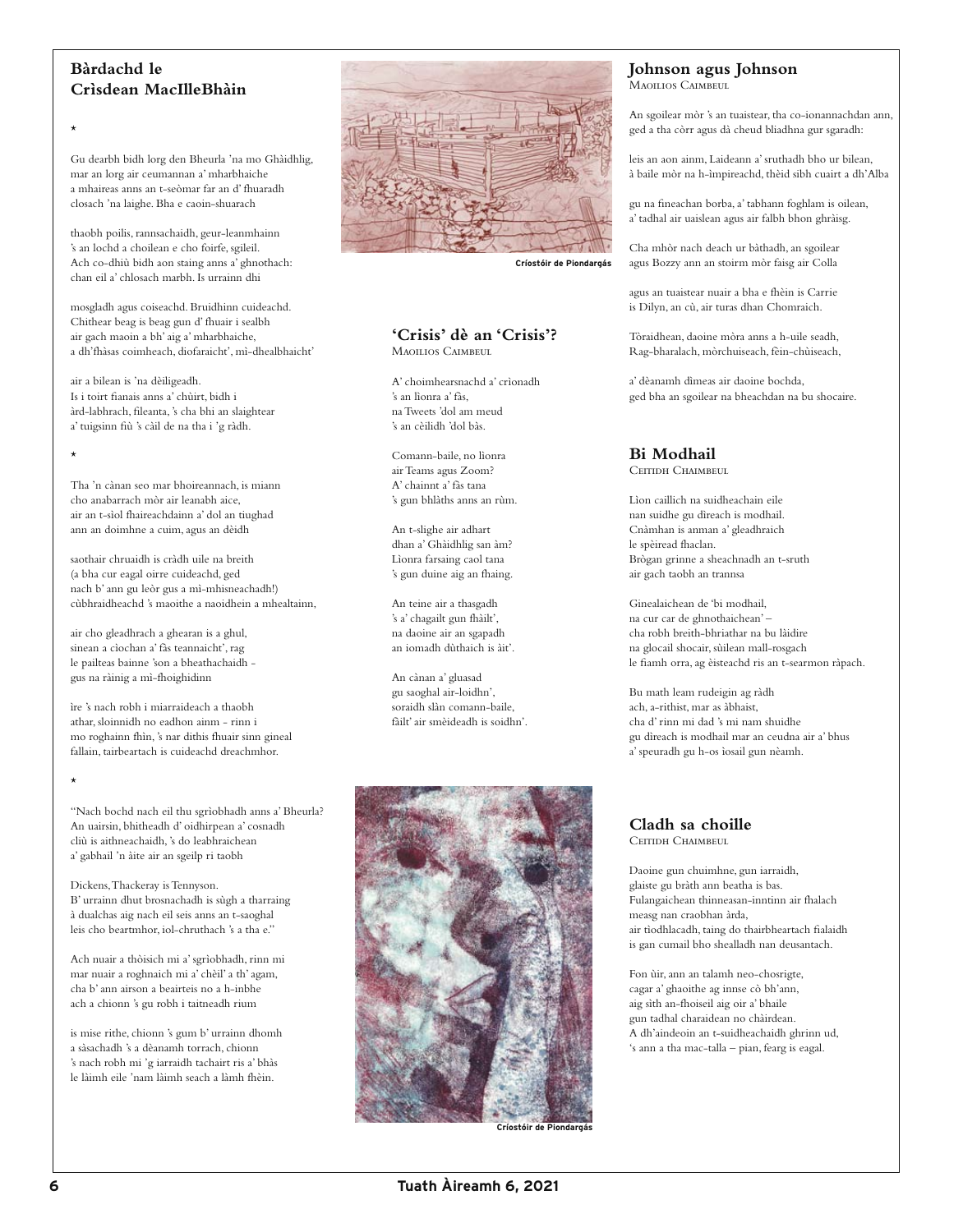## **Bàrdachd le Crìsdean MacIlleBhàin**

\*

\*

\*

Gu dearbh bidh lorg den Bheurla 'na mo Ghàidhlig, mar an lorg air ceumannan a' mharbhaiche a mhaireas anns an t-seòmar far an d' fhuaradh closach 'na laighe. Bha e caoin-shuarach

thaobh poilis, rannsachaidh, geur-leanmhainn 's an lochd a choilean e cho foirfe, sgileil. Ach co-dhiù bidh aon staing anns a' ghnothach: chan eil a' chlosach marbh. Is urrainn dhi

mosgladh agus coiseachd. Bruidhinn cuideachd. Chithear beag is beag gun d' fhuair i sealbh air gach maoin a bh' aig a' mharbhaiche, a dh'fhàsas coimheach, diofaraicht', mì-dhealbhaicht'

air a bilean is 'na dèiligeadh. Is i toirt fianais anns a' chùirt, bidh i àrd-labhrach, fileanta, 's cha bhi an slaightear a' tuigsinn fiù 's càil de na tha i 'g ràdh.

Tha 'n cànan seo mar bhoireannach, is miann cho anabarrach mòr air leanabh aice, air an t-sìol fhaireachdainn a' dol an tiughad ann an doimhne a cuim, agus an dèidh

saothair chruaidh is cràdh uile na breith (a bha cur eagal oirre cuideachd, ged nach b' ann gu leòr gus a mì-mhisneachadh!) cùbhraidheachd 's maoithe a naoidhein a mhealtainn,

air cho gleadhrach a ghearan is a ghul, sinean a cìochan a' fàs teannaicht', rag le pailteas bainne 'son a bheathachaidh gus na ràinig a mì-fhoighidinn

ìre 's nach robh i miarraideach a thaobh athar, sloinnidh no eadhon ainm - rinn i mo roghainn fhìn, 's nar dithis fhuair sinn gineal fallain, tairbeartach is cuideachd dreachmhor.

"Nach bochd nach eil thu sgrìobhadh anns a' Bheurla? An uairsin, bhitheadh d' oidhirpean a' cosnadh cliù is aithneachaidh, 's do leabhraichean a' gabhail 'n àite air an sgeilp ri taobh

Dickens, Thackeray is Tennyson. B' urrainn dhut brosnachadh is sùgh a tharraing à dualchas aig nach eil seis anns an t-saoghal leis cho beartmhor, iol-chruthach 's a tha e."

Ach nuair a thòisich mi a' sgrìobhadh, rinn mi mar nuair a roghnaich mi a' chèil' a th' agam, cha b' ann airson a beairteis no a h-inbhe ach a chionn 's gu robh i taitneadh rium

is mise rithe, chionn 's gum b' urrainn dhomh a sàsachadh 's a dèanamh torrach, chionn 's nach robh mi 'g iarraidh tachairt ris a' bhàs le làimh eile 'nam làimh seach a làmh fhèin.



**Críostóir de Piondargás**

#### **'Crisis' dè an 'Crisis'?** Maoulios Caimbeul

A' choimhearsnachd a' crìonadh 's an lìonra a' fàs, na Tweets 'dol am meud 's an cèilidh 'dol bàs.

Comann-baile, no lìonra air Teams agus Zoom? A' chainnt a' fàs tana 's gun bhlàths anns an rùm.

An t-slighe air adhart dhan a' Ghàidhlig san àm? Lìonra farsaing caol tana 's gun duine aig an fhaing.

An teine air a thasgadh 's a' chagailt gun fhàilt', na daoine air an sgapadh an iomadh dùthaich is àit'.

An cànan a' gluasad gu saoghal air-loidhn', soraidh slàn comann-baile, fàilt' air smèideadh is soidhn'.



**Críostóir de Piondargás**

#### **Johnson agus Johnson** MAOILIOS CAIMBEUL

An sgoilear mòr 's an tuaistear, tha co-ionannachdan ann,

ged a tha còrr agus dà cheud bliadhna gur sgaradh:

leis an aon ainm, Laideann a' sruthadh bho ur bilean, à baile mòr na h-ìmpireachd, thèid sibh cuairt a dh'Alba

gu na fineachan borba, a' tabhann foghlam is oilean, a' tadhal air uaislean agus air falbh bhon ghràisg.

Cha mhòr nach deach ur bàthadh, an sgoilear agus Bozzy ann an stoirm mòr faisg air Colla

agus an tuaistear nuair a bha e fhèin is Carrie is Dilyn, an cù, air turas dhan Chomraich.

Tòraidhean, daoine mòra anns a h-uile seadh, Rag-bharalach, mòrchuiseach, fèin-chùiseach,

a' dèanamh dìmeas air daoine bochda, ged bha an sgoilear na bheachdan na bu shocaire.

# **Bi Modhail**

Ceitidh Chaimbeul

Lìon caillich na suidheachain eile nan suidhe gu dìreach is modhail. Cnàmhan is anman a' gleadhraich le spèiread fhaclan. Brògan grinne a sheachnadh an t-sruth air gach taobh an trannsa

Ginealaichean de 'bi modhail, na cur car de ghnothaichean' – cha robh breith-bhriathar na bu làidire na glocail shocair, sùilean mall-rosgach le fiamh orra, ag èisteachd ris an t-searmon ràpach.

Bu math leam rudeigin ag ràdh ach, a-rithist, mar as àbhaist, cha d' rinn mi dad 's mi nam shuidhe gu dìreach is modhail mar an ceudna air a' bhus a' speuradh gu h-os ìosail gun nèamh.

#### **Cladh sa choille** Ceitidh Chaimbeul

Daoine gun chuimhne, gun iarraidh, glaiste gu bràth ann beatha is bas. Fulangaichean thinneasan-inntinn air fhalach measg nan craobhan àrda, air tìodhlacadh, taing do thairbheartach fialaidh is gan cumail bho shealladh nan deusantach.

Fon ùir, ann an talamh neo-chosrigte, cagar a' ghaoithe ag innse cò bh'ann, aig sìth an-fhoiseil aig oir a' bhaile gun tadhal charaidean no chàirdean. A dh'aindeoin an t-suidheachaidh ghrinn ud, 's ann a tha mac-talla – pian, fearg is eagal.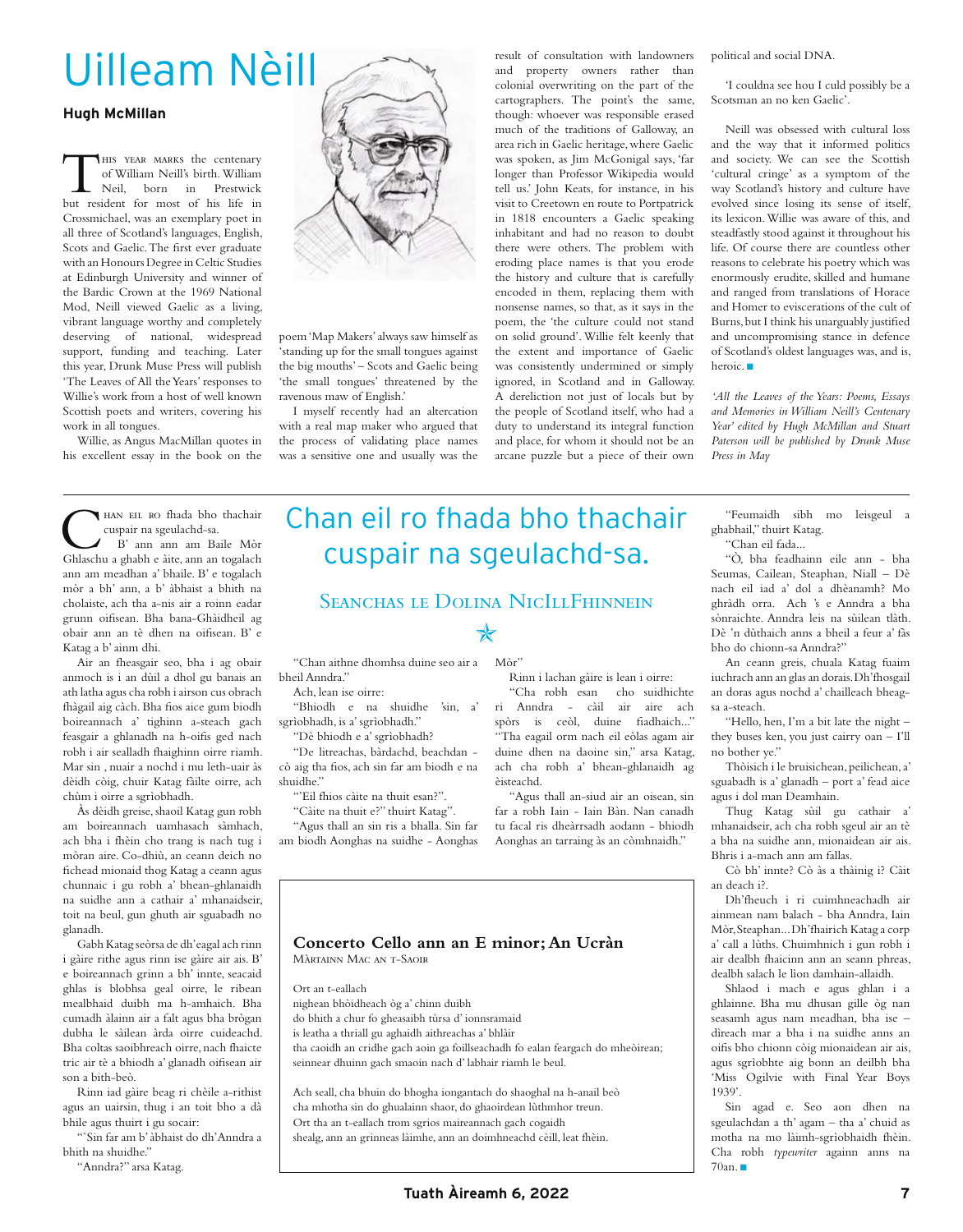# Uilleam Nèill

#### **Hugh McMillan**

THIS YEAR MARKS the centenary<br>
of William Neill's birth. William<br>
Neil, born in Prestwick<br>
but resident for most of his life in of William Neill's birth. William Neil, born in Prestwick Crossmichael, was an exemplary poet in all three of Scotland's languages, English, Scots and Gaelic. The first ever graduate with an Honours Degree in Celtic Studies at Edinburgh University and winner of the Bardic Crown at the 1969 National Mod, Neill viewed Gaelic as a living, vibrant language worthy and completely deserving of national, widespread support, funding and teaching. Later this year, Drunk Muse Press will publish 'The Leaves of All the Years' responses to Willie's work from a host of well known Scottish poets and writers, covering his work in all tongues.

Willie, as Angus MacMillan quotes in his excellent essay in the book on the



poem 'Map Makers' always saw himself as 'standing up for the small tongues against the big mouths' – Scots and Gaelic being 'the small tongues' threatened by the ravenous maw of English.'

I myself recently had an altercation with a real map maker who argued that the process of validating place names was a sensitive one and usually was the

result of consultation with landowners and property owners rather than colonial overwriting on the part of the cartographers. The point's the same, though: whoever was responsible erased much of the traditions of Galloway, an area rich in Gaelic heritage, where Gaelic was spoken, as Jim McGonigal says, 'far longer than Professor Wikipedia would tell us.' John Keats, for instance, in his visit to Creetown en route to Portpatrick in 1818 encounters a Gaelic speaking inhabitant and had no reason to doubt there were others. The problem with eroding place names is that you erode the history and culture that is carefully encoded in them, replacing them with nonsense names, so that, as it says in the poem, the 'the culture could not stand on solid ground'. Willie felt keenly that the extent and importance of Gaelic was consistently undermined or simply ignored, in Scotland and in Galloway. A dereliction not just of locals but by the people of Scotland itself, who had a duty to understand its integral function and place, for whom it should not be an arcane puzzle but a piece of their own

political and social DNA.

'I couldna see hou I culd possibly be a Scotsman an no ken Gaelic'.

Neill was obsessed with cultural loss and the way that it informed politics and society. We can see the Scottish 'cultural cringe' as a symptom of the way Scotland's history and culture have evolved since losing its sense of itself, its lexicon. Willie was aware of this, and steadfastly stood against it throughout his life. Of course there are countless other reasons to celebrate his poetry which was enormously erudite, skilled and humane and ranged from translations of Horace and Homer to eviscerations of the cult of Burns, but I think his unarguably justified and uncompromising stance in defence of Scotland's oldest languages was, and is, heroic.  $\blacksquare$ 

*'All the Leaves of the Years: Poems, Essays and Memories in William Neill's Centenary Year' edited by Hugh McMillan and Stuart Paterson will be published by Drunk Muse Press in May*

HAN EIL RO fhada bho thachair cuspair na sgeulachd-sa. B' ann ann am Baile Mòr Ghlaschu a ghabh e àite, ann an togalach ann am meadhan a' bhaile. B' e togalach mòr a bh' ann, a b' àbhaist a bhith na cholaiste, ach tha a-nis air a roinn eadar grunn oifisean. Bha bana-Ghàidheil ag obair ann an tè dhen na oifisean. B' e Katag a b' ainm dhi.

Air an fheasgair seo, bha i ag obair anmoch is i an dùil a dhol gu banais an ath latha agus cha robh i airson cus obrach fhàgail aig càch. Bha fios aice gum biodh boireannach a' tighinn a-steach gach feasgair a ghlanadh na h-oifis ged nach robh i air sealladh fhaighinn oirre riamh. Mar sin , nuair a nochd i mu leth-uair às dèidh còig, chuir Katag fàilte oirre, ach chùm i oirre a sgrìobhadh.

Às dèidh greise, shaoil Katag gun robh am boireannach uamhasach sàmhach, ach bha i fhèin cho trang is nach tug i mòran aire. Co-dhiù, an ceann deich no fichead mionaid thog Katag a ceann agus chunnaic i gu robh a' bhean-ghlanaidh na suidhe ann a cathair a' mhanaidseir, toit na beul, gun ghuth air sguabadh no glanadh.

Gabh Katag seòrsa de dh'eagal ach rinn i gàire rithe agus rinn ise gàire air ais. B' e boireannach grinn a bh' innte, seacaid ghlas is blobhsa geal oirre, le ribean mealbhaid duibh ma h-amhaich. Bha cumadh àlainn air a falt agus bha brògan dubha le sàilean àrda oirre cuideachd. Bha coltas saoibhreach oirre, nach fhaicte tric air tè a bhiodh a' glanadh oifisean air son a bith-beò.

Rinn iad gàire beag ri chèile a-rithist agus an uairsin, thug i an toit bho a dà bhile agus thuirt i gu socair:

"`Sin far am b' àbhaist do dh'Anndra a bhith na shuidhe."

"Anndra?" arsa Katag.

# Chan eil ro fhada bho thachair cuspair na sgeulachd-sa.

## SEANCHAS LE DOLINA NICILLFHINNEIN

# ✯

"Chan aithne dhomhsa duine seo air a Mòr" bheil Anndra."

Ach, lean ise oirre:

"Bhiodh e na shuidhe 'sin, a'

sgrìobhadh, is a' sgrìobhadh."

"Dè bhiodh e a' sgrìobhadh?

"De litreachas, bàrdachd, beachdan cò aig tha fios, ach sin far am biodh e na shuidhe."

"'Eil fhios càite na thuit esan?".

"Càite na thuit e?" thuirt Katag".

Màrtainn Mac an t-Saoir

nighean bhòidheach òg a' chinn duibh

do bhith a chur fo gheasaibh tùrsa d' ionnsramaid is leatha a thriall gu aghaidh aithreachas a' bhlàir

seinnear dhuinn gach smaoin nach d' labhair riamh le beul.

Ort an t-eallach

"Agus thall an sin ris a bhalla. Sin far am biodh Aonghas na suidhe - Aonghas

"Cha robh esan cho suidhichte ri Anndra - càil air aire ach spòrs is ceòl, duine fiadhaich..." "Tha eagail orm nach eil eòlas agam air duine dhen na daoine sin," arsa Katag, ach cha robh a' bhean-ghlanaidh ag èisteachd.

"Agus thall an-siud air an oisean, sin far a robh Iain - Iain Bàn. Nan canadh tu facal ris dheàrrsadh aodann - bhiodh Aonghas an tarraing às an còmhnaidh."

Rinn i lachan gàire is lean i oirre:

"Feumaidh sibh mo leisgeul a ghabhail," thuirt Katag. "Chan eil fada... "Ò, bha feadhainn eile ann - bha Seumas, Cailean, Steaphan, Niall – Dè nach eil iad a' dol a dhèanamh? Mo

ghràdh orra. Ach 's e Anndra a bha sònraichte. Anndra leis na sùilean tlàth. Dè 'n dùthaich anns a bheil a feur a' fàs bho do chionn-sa Anndra?"

An ceann greis, chuala Katag fuaim iuchrach ann an glas an dorais. Dh'fhosgail an doras agus nochd a' chailleach bheagsa a-steach.

"Hello, hen, I'm a bit late the night – they buses ken, you just cairry oan – I'll no bother ye."

Thòisich i le bruisichean, peilichean, a' sguabadh is a' glanadh – port a' fead aice agus i dol man Deamhain.

Thug Katag sùil gu cathair a' mhanaidseir, ach cha robh sgeul air an tè a bha na suidhe ann, mionaidean air ais. Bhris i a-mach ann am fallas.

Cò bh' innte? Cò às a thàinig i? Càit an deach i?.

Dh'fheuch i ri cuimhneachadh air ainmean nam balach - bha Anndra, Iain Mòr, Steaphan... Dh'fhairich Katag a corp a' call a lùths. Chuimhnich i gun robh i air dealbh fhaicinn ann an seann phreas, dealbh salach le lìon damhain-allaidh.

Shlaod i mach e agus ghlan i a ghlainne. Bha mu dhusan gille òg nan seasamh agus nam meadhan, bha ise – dìreach mar a bha i na suidhe anns an oifis bho chionn còig mionaidean air ais, agus sgrìobhte aig bonn an deilbh bha 'Miss Ogilvie with Final Year Boys 1939'.

Sin agad e. Seo aon dhen na sgeulachdan a th' agam – tha a' chuid as motha na mo làimh-sgrìobhaidh fhèin. Cha robh *typewriter* againn anns na  $70an.$ 

tha caoidh an cridhe gach aoin ga foillseachadh fo ealan feargach do mheòirean;

Ach seall, cha bhuin do bhogha iongantach do shaoghal na h-anail beò cha mhotha sin do ghualainn shaor, do ghaoirdean lùthmhor treun. Ort tha an t-eallach trom sgrios maireannach gach cogaidh

shealg, ann an grinneas làimhe, ann an doimhneachd cèill, leat fhèin.

**Concerto Cello ann an E minor; An Ucràn**